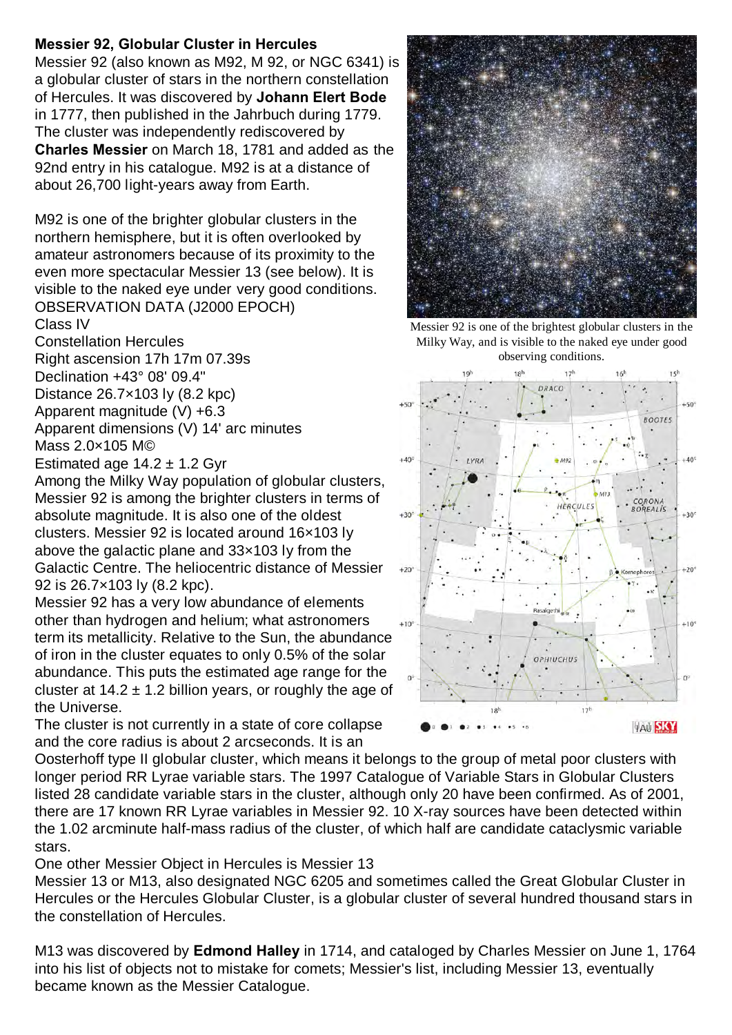## **Messier 92, Globular Cluster in Hercules**

Messier 92 (also known as M92, M 92, or NGC 6341) is a globular cluster of stars in the northern constellation of Hercules. It was discovered by **Johann Elert Bode** in 1777, then published in the Jahrbuch during 1779. The cluster was independently rediscovered by **Charles Messier** on March 18, 1781 and added as the 92nd entry in his catalogue. M92 is at a distance of about 26,700 light-years away from Earth.

M92 is one of the brighter globular clusters in the northern hemisphere, but it is often overlooked by amateur astronomers because of its proximity to the even more spectacular Messier 13 (see below). It is visible to the naked eye under very good conditions. OBSERVATION DATA (J2000 EPOCH)

Class IV

Constellation Hercules

Right ascension 17h 17m 07.39s Declination +43° 08' 09.4"

Distance 26.7×103 ly (8.2 kpc)

Apparent magnitude (V) +6.3

Apparent dimensions (V) 14' arc minutes Mass 2.0×105 M©

Estimated age  $14.2 \pm 1.2$  Gyr

Among the Milky Way population of globular clusters, Messier 92 is among the brighter clusters in terms of absolute magnitude. It is also one of the oldest clusters. Messier 92 is located around 16×103 ly above the galactic plane and 33×103 ly from the Galactic Centre. The heliocentric distance of Messier 92 is 26.7×103 ly (8.2 kpc).

Messier 92 has a very low abundance of elements other than hydrogen and helium; what astronomers term its metallicity. Relative to the Sun, the abundance of iron in the cluster equates to only 0.5% of the solar abundance. This puts the estimated age range for the cluster at  $14.2 \pm 1.2$  billion years, or roughly the age of the Universe.

The cluster is not currently in a state of core collapse and the core radius is about 2 arcseconds. It is an

Oosterhoff type II globular cluster, which means it belongs to the group of metal poor clusters with longer period RR Lyrae variable stars. The 1997 Catalogue of Variable Stars in Globular Clusters listed 28 candidate variable stars in the cluster, although only 20 have been confirmed. As of 2001, there are 17 known RR Lyrae variables in Messier 92. 10 X-ray sources have been detected within the 1.02 arcminute half-mass radius of the cluster, of which half are candidate cataclysmic variable stars.

One other Messier Object in Hercules is Messier 13

Messier 13 or M13, also designated NGC 6205 and sometimes called the Great Globular Cluster in Hercules or the Hercules Globular Cluster, is a globular cluster of several hundred thousand stars in the constellation of Hercules.

M13 was discovered by **Edmond Halley** in 1714, and cataloged by Charles Messier on June 1, 1764 into his list of objects not to mistake for comets; Messier's list, including Messier 13, eventually became known as the Messier Catalogue.



Messier 92 is one of the brightest globular clusters in the Milky Way, and is visible to the naked eye under good observing conditions.